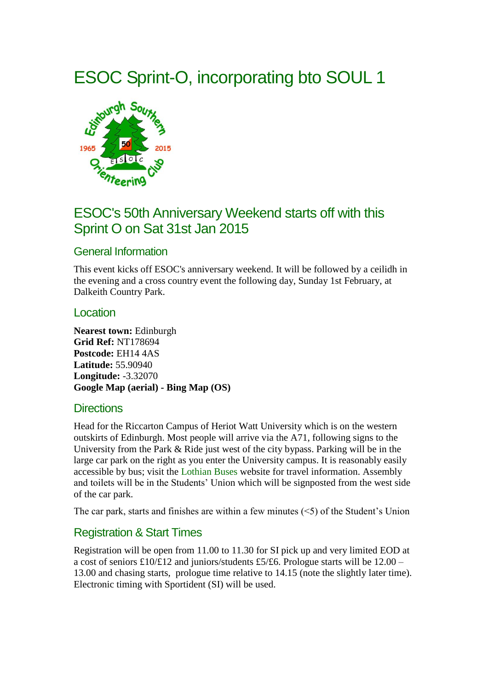# ESOC Sprint-O, incorporating bto SOUL 1



## ESOC's 50th Anniversary Weekend starts off with this Sprint O on Sat 31st Jan 2015

## General Information

This event kicks off ESOC's anniversary weekend. It will be followed by a ceilidh in the evening and a cross country event the following day, Sunday 1st February, at Dalkeith Country Park.

#### Location

**Nearest town:** Edinburgh **Grid Ref:** NT178694 **Postcode:** EH14 4AS **Latitude:** 55.90940 **Longitude:** -3.32070 **[Google Map \(aerial\)](https://www.google.com/maps/place/55.90940,-3.32070/@55.90940,-3.32070,12z) - [Bing Map \(OS\)](http://www.bing.com/maps/?lvl=14&style=s&cp=55.90940~-3.32070&where1=55.90940,-3.32070&name=ESOC%20Sprint-O%20incorporating%20bto%20SOUL%201)**

#### **Directions**

Head for the Riccarton Campus of Heriot Watt University which is on the western outskirts of Edinburgh. Most people will arrive via the A71, following signs to the University from the Park & Ride just west of the city bypass. Parking will be in the large car park on the right as you enter the University campus. It is reasonably easily accessible by bus; visit the [Lothian Buses](http://www.lothianbuses.com/) website for travel information. Assembly and toilets will be in the Students' Union which will be signposted from the west side of the car park.

The car park, starts and finishes are within a few minutes  $(5)$  of the Student's Union

## Registration & Start Times

Registration will be open from 11.00 to 11.30 for SI pick up and very limited EOD at a cost of seniors £10/£12 and juniors/students £5/£6. Prologue starts will be  $12.00 -$ 13.00 and chasing starts, prologue time relative to 14.15 (note the slightly later time). Electronic timing with Sportident (SI) will be used.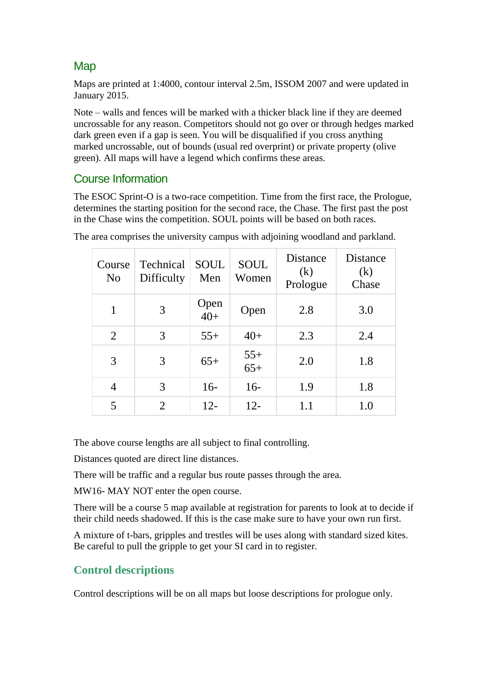## **Map**

Maps are printed at 1:4000, contour interval 2.5m, ISSOM 2007 and were updated in January 2015.

Note – walls and fences will be marked with a thicker black line if they are deemed uncrossable for any reason. Competitors should not go over or through hedges marked dark green even if a gap is seen. You will be disqualified if you cross anything marked uncrossable, out of bounds (usual red overprint) or private property (olive green). All maps will have a legend which confirms these areas.

## Course Information

The ESOC Sprint-O is a two-race competition. Time from the first race, the Prologue, determines the starting position for the second race, the Chase. The first past the post in the Chase wins the competition. SOUL points will be based on both races.

| Course<br>N <sub>o</sub> | Technical<br>Difficulty | <b>SOUL</b><br>Men | <b>SOUL</b><br>Women | Distance<br>(k)<br>Prologue | Distance<br>(k)<br>Chase |
|--------------------------|-------------------------|--------------------|----------------------|-----------------------------|--------------------------|
| 1                        | 3                       | Open<br>$40+$      | Open                 | 2.8                         | 3.0                      |
| 2                        | 3                       | $55+$              | $40+$                | 2.3                         | 2.4                      |
| 3                        | 3                       | $65+$              | $55+$<br>$65+$       | 2.0                         | 1.8                      |
| $\overline{4}$           | 3                       | $16-$              | $16-$                | 1.9                         | 1.8                      |
| 5                        | 2                       | $12 -$             | $12 -$               | 1.1                         | 1.0                      |

The area comprises the university campus with adjoining woodland and parkland.

The above course lengths are all subject to final controlling.

Distances quoted are direct line distances.

There will be traffic and a regular bus route passes through the area.

MW16- MAY NOT enter the open course.

There will be a course 5 map available at registration for parents to look at to decide if their child needs shadowed. If this is the case make sure to have your own run first.

A mixture of t-bars, gripples and trestles will be uses along with standard sized kites. Be careful to pull the gripple to get your SI card in to register.

## **Control descriptions**

Control descriptions will be on all maps but loose descriptions for prologue only.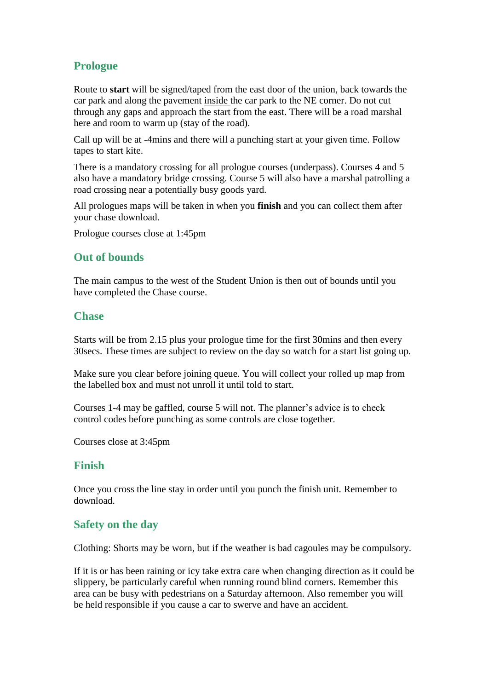## **Prologue**

Route to **start** will be signed/taped from the east door of the union, back towards the car park and along the pavement inside the car park to the NE corner. Do not cut through any gaps and approach the start from the east. There will be a road marshal here and room to warm up (stay of the road).

Call up will be at -4mins and there will a punching start at your given time. Follow tapes to start kite.

There is a mandatory crossing for all prologue courses (underpass). Courses 4 and 5 also have a mandatory bridge crossing. Course 5 will also have a marshal patrolling a road crossing near a potentially busy goods yard.

All prologues maps will be taken in when you **finish** and you can collect them after your chase download.

Prologue courses close at 1:45pm

#### **Out of bounds**

The main campus to the west of the Student Union is then out of bounds until you have completed the Chase course.

#### **Chase**

Starts will be from 2.15 plus your prologue time for the first 30mins and then every 30secs. These times are subject to review on the day so watch for a start list going up.

Make sure you clear before joining queue. You will collect your rolled up map from the labelled box and must not unroll it until told to start.

Courses 1-4 may be gaffled, course 5 will not. The planner's advice is to check control codes before punching as some controls are close together.

Courses close at 3:45pm

#### **Finish**

Once you cross the line stay in order until you punch the finish unit. Remember to download.

#### **Safety on the day**

Clothing: Shorts may be worn, but if the weather is bad cagoules may be compulsory.

If it is or has been raining or icy take extra care when changing direction as it could be slippery, be particularly careful when running round blind corners. Remember this area can be busy with pedestrians on a Saturday afternoon. Also remember you will be held responsible if you cause a car to swerve and have an accident.